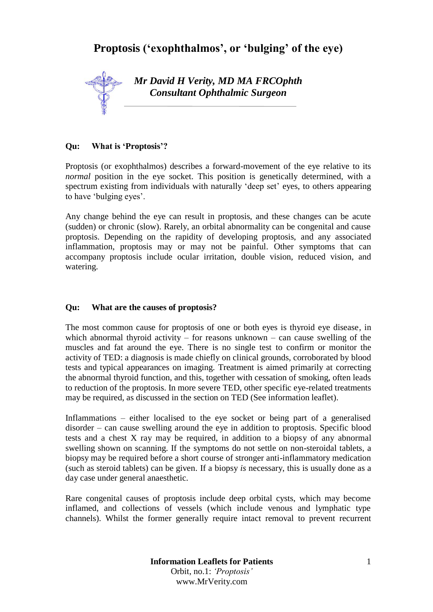## **Proptosis ('exophthalmos', or 'bulging' of the eye)**



*Mr David H Verity, MD MA FRCOphth Consultant Ophthalmic Surgeon*

## **Qu: What is 'Proptosis'?**

Proptosis (or exophthalmos) describes a forward-movement of the eye relative to its *normal* position in the eye socket. This position is genetically determined, with a spectrum existing from individuals with naturally 'deep set' eyes, to others appearing to have 'bulging eyes'.

Any change behind the eye can result in proptosis, and these changes can be acute (sudden) or chronic (slow). Rarely, an orbital abnormality can be congenital and cause proptosis. Depending on the rapidity of developing proptosis, and any associated inflammation, proptosis may or may not be painful. Other symptoms that can accompany proptosis include ocular irritation, double vision, reduced vision, and watering.

## **Qu: What are the causes of proptosis?**

The most common cause for proptosis of one or both eyes is thyroid eye disease, in which abnormal thyroid activity – for reasons unknown – can cause swelling of the muscles and fat around the eye. There is no single test to confirm or monitor the activity of TED: a diagnosis is made chiefly on clinical grounds, corroborated by blood tests and typical appearances on imaging. Treatment is aimed primarily at correcting the abnormal thyroid function, and this, together with cessation of smoking, often leads to reduction of the proptosis. In more severe TED, other specific eye-related treatments may be required, as discussed in the section on TED (See information leaflet).

Inflammations – either localised to the eye socket or being part of a generalised disorder – can cause swelling around the eye in addition to proptosis. Specific blood tests and a chest X ray may be required, in addition to a biopsy of any abnormal swelling shown on scanning. If the symptoms do not settle on non-steroidal tablets, a biopsy may be required before a short course of stronger anti-inflammatory medication (such as steroid tablets) can be given. If a biopsy *is* necessary, this is usually done as a day case under general anaesthetic.

Rare congenital causes of proptosis include deep orbital cysts, which may become inflamed, and collections of vessels (which include venous and lymphatic type channels). Whilst the former generally require intact removal to prevent recurrent